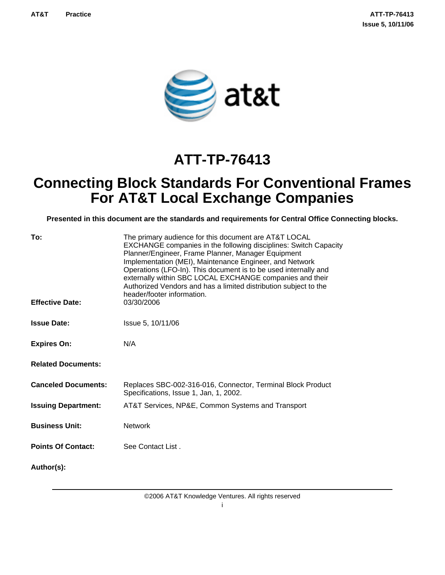

# **ATT-TP-76413**

# **Connecting Block Standards For Conventional Frames For AT&T Local Exchange Companies**

**Presented in this document are the standards and requirements for Central Office Connecting blocks.**

| To:                        | The primary audience for this document are AT&T LOCAL<br><b>EXCHANGE companies in the following disciplines: Switch Capacity</b><br>Planner/Engineer, Frame Planner, Manager Equipment<br>Implementation (MEI), Maintenance Engineer, and Network<br>Operations (LFO-In). This document is to be used internally and<br>externally within SBC LOCAL EXCHANGE companies and their<br>Authorized Vendors and has a limited distribution subject to the<br>header/footer information. |
|----------------------------|------------------------------------------------------------------------------------------------------------------------------------------------------------------------------------------------------------------------------------------------------------------------------------------------------------------------------------------------------------------------------------------------------------------------------------------------------------------------------------|
| <b>Effective Date:</b>     | 03/30/2006                                                                                                                                                                                                                                                                                                                                                                                                                                                                         |
| <b>Issue Date:</b>         | Issue 5, 10/11/06                                                                                                                                                                                                                                                                                                                                                                                                                                                                  |
| <b>Expires On:</b>         | N/A                                                                                                                                                                                                                                                                                                                                                                                                                                                                                |
| <b>Related Documents:</b>  |                                                                                                                                                                                                                                                                                                                                                                                                                                                                                    |
| <b>Canceled Documents:</b> | Replaces SBC-002-316-016, Connector, Terminal Block Product<br>Specifications, Issue 1, Jan, 1, 2002.                                                                                                                                                                                                                                                                                                                                                                              |
| <b>Issuing Department:</b> | AT&T Services, NP&E, Common Systems and Transport                                                                                                                                                                                                                                                                                                                                                                                                                                  |
| <b>Business Unit:</b>      | <b>Network</b>                                                                                                                                                                                                                                                                                                                                                                                                                                                                     |
| <b>Points Of Contact:</b>  | See Contact List.                                                                                                                                                                                                                                                                                                                                                                                                                                                                  |
| Author(s):                 |                                                                                                                                                                                                                                                                                                                                                                                                                                                                                    |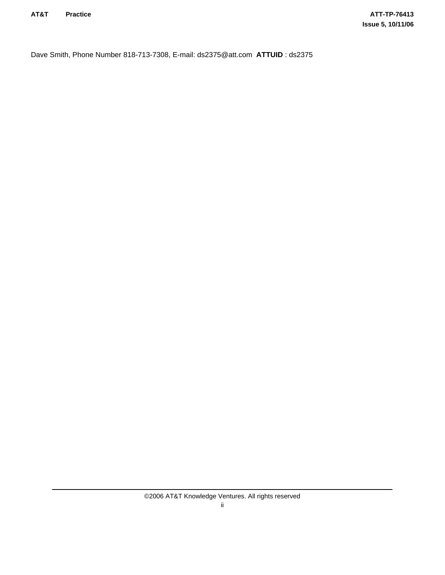Dave Smith, Phone Number 818-713-7308, E-mail: ds2375@att.com **ATTUID** : ds2375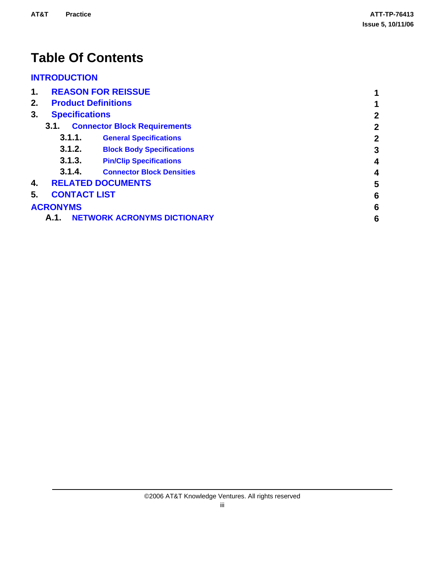# **Table Of Contents**

#### **[INTRODUCTION](#page-4-0)**

| $\mathbf 1$ . | <b>REASON FOR REISSUE</b>  |                                     |                 |
|---------------|----------------------------|-------------------------------------|-----------------|
| 2.            | <b>Product Definitions</b> |                                     | 1               |
| 3.            | <b>Specifications</b>      |                                     | $\mathbf{2}$    |
|               | 3.1.                       | <b>Connector Block Requirements</b> | $\mathbf 2$     |
|               | 3.1.1.                     | <b>General Specifications</b>       | $\mathbf 2$     |
|               | 3.1.2.                     | <b>Block Body Specifications</b>    | 3               |
|               | 3.1.3.                     | <b>Pin/Clip Specifications</b>      | 4               |
|               | 3.1.4.                     | <b>Connector Block Densities</b>    | 4               |
| 4.            |                            | <b>RELATED DOCUMENTS</b>            | 5               |
| 5.            | <b>CONTACT LIST</b>        |                                     | $6\phantom{1}6$ |
|               | <b>ACRONYMS</b>            |                                     | $6\phantom{1}6$ |
|               | A.1.                       | <b>NETWORK ACRONYMS DICTIONARY</b>  | 6               |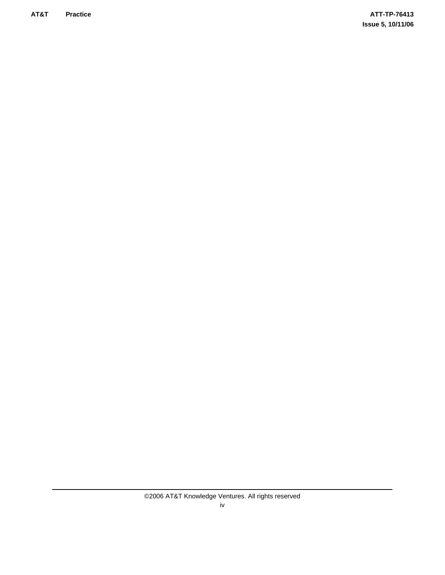**AT&T Practice ATT-TP-76413**

**Issue 5, 10/11/06**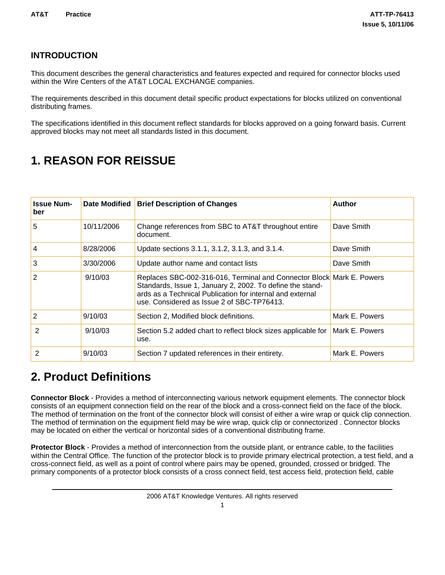#### <span id="page-4-0"></span>**INTRODUCTION**

This document describes the general characteristics and features expected and required for connector blocks used within the Wire Centers of the AT&T LOCAL EXCHANGE companies.

The requirements described in this document detail specific product expectations for blocks utilized on conventional distributing frames.

The specifications identified in this document reflect standards for blocks approved on a going forward basis. Current approved blocks may not meet all standards listed in this document.

# <span id="page-4-1"></span>**1. REASON FOR REISSUE**

| <b>Issue Num-</b><br>ber | Date Modified | <b>Brief Description of Changes</b>                                                                                                                                                                                                           | Author         |
|--------------------------|---------------|-----------------------------------------------------------------------------------------------------------------------------------------------------------------------------------------------------------------------------------------------|----------------|
| 5                        | 10/11/2006    | Change references from SBC to AT&T throughout entire<br>document.                                                                                                                                                                             | Dave Smith     |
| $\overline{4}$           | 8/28/2006     | Update sections 3.1.1, 3.1.2, 3.1.3, and 3.1.4.                                                                                                                                                                                               | Dave Smith     |
| 3                        | 3/30/2006     | Update author name and contact lists                                                                                                                                                                                                          | Dave Smith     |
| 2                        | 9/10/03       | Replaces SBC-002-316-016, Terminal and Connector Block Mark E. Powers<br>Standards, Issue 1, January 2, 2002. To define the stand-<br>ards as a Technical Publication for internal and external<br>use. Considered as Issue 2 of SBC-TP76413. |                |
| $\overline{2}$           | 9/10/03       | Section 2, Modified block definitions.                                                                                                                                                                                                        | Mark E. Powers |
| 2                        | 9/10/03       | Section 5.2 added chart to reflect block sizes applicable for<br>use.                                                                                                                                                                         | Mark E. Powers |
| 2                        | 9/10/03       | Section 7 updated references in their entirety.                                                                                                                                                                                               | Mark E. Powers |

### <span id="page-4-2"></span>**2. Product Definitions**

**Connector Block** - Provides a method of interconnecting various network equipment elements. The connector block consists of an equipment connection field on the rear of the block and a cross-connect field on the face of the block. The method of termination on the front of the connector block will consist of either a wire wrap or quick clip connection. The method of termination on the equipment field may be wire wrap, quick clip or connectorized . Connector blocks may be located on either the vertical or horizontal sides of a conventional distributing frame.

**Protector Block** - Provides a method of interconnection from the outside plant, or entrance cable, to the facilities within the Central Office. The function of the protector block is to provide primary electrical protection, a test field, and a cross-connect field, as well as a point of control where pairs may be opened, grounded, crossed or bridged. The primary components of a protector block consists of a cross connect field, test access field, protection field, cable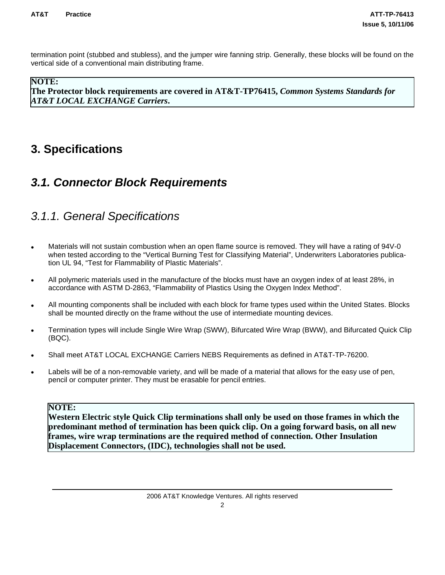termination point (stubbed and stubless), and the jumper wire fanning strip. Generally, these blocks will be found on the vertical side of a conventional main distributing frame.

#### **NOTE:**

**The Protector block requirements are covered in AT&T-TP76415,** *Common Systems Standards for AT&T LOCAL EXCHANGE Carriers***.**

#### <span id="page-5-0"></span>**3. Specifications**

#### <span id="page-5-1"></span>**3.1. Connector Block Requirements**

#### <span id="page-5-2"></span>3.1.1. General Specifications

- Materials will not sustain combustion when an open flame source is removed. They will have a rating of 94V-0 when tested according to the "Vertical Burning Test for Classifying Material", Underwriters Laboratories publication UL 94, "Test for Flammability of Plastic Materials".
- All polymeric materials used in the manufacture of the blocks must have an oxygen index of at least 28%, in accordance with ASTM D-2863, "Flammability of Plastics Using the Oxygen Index Method".
- All mounting components shall be included with each block for frame types used within the United States. Blocks shall be mounted directly on the frame without the use of intermediate mounting devices.
- Termination types will include Single Wire Wrap (SWW), Bifurcated Wire Wrap (BWW), and Bifurcated Quick Clip (BQC).
- Shall meet AT&T LOCAL EXCHANGE Carriers NEBS Requirements as defined in AT&T-TP-76200.
- Labels will be of a non-removable variety, and will be made of a material that allows for the easy use of pen, pencil or computer printer. They must be erasable for pencil entries.

#### **NOTE:**

**Western Electric style Quick Clip terminations shall only be used on those frames in which the predominant method of termination has been quick clip. On a going forward basis, on all new frames, wire wrap terminations are the required method of connection. Other Insulation Displacement Connectors, (IDC), technologies shall not be used.**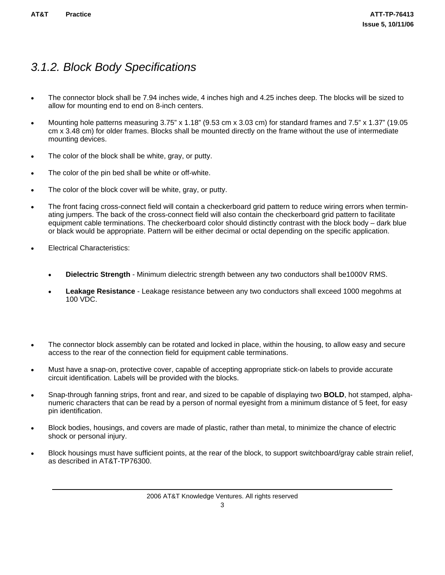### <span id="page-6-0"></span>3.1.2. Block Body Specifications

- The connector block shall be 7.94 inches wide, 4 inches high and 4.25 inches deep. The blocks will be sized to allow for mounting end to end on 8-inch centers.
- Mounting hole patterns measuring 3.75" x 1.18" (9.53 cm x 3.03 cm) for standard frames and 7.5" x 1.37" (19.05 cm x 3.48 cm) for older frames. Blocks shall be mounted directly on the frame without the use of intermediate mounting devices.
- The color of the block shall be white, gray, or putty.
- The color of the pin bed shall be white or off-white.
- The color of the block cover will be white, gray, or putty.
- The front facing cross-connect field will contain a checkerboard grid pattern to reduce wiring errors when terminating jumpers. The back of the cross-connect field will also contain the checkerboard grid pattern to facilitate equipment cable terminations. The checkerboard color should distinctly contrast with the block body – dark blue or black would be appropriate. Pattern will be either decimal or octal depending on the specific application.
- **Electrical Characteristics:** 
	- **Dielectric Strength** Minimum dielectric strength between any two conductors shall be1000V RMS.
	- **Leakage Resistance** Leakage resistance between any two conductors shall exceed 1000 megohms at 100 VDC.
- The connector block assembly can be rotated and locked in place, within the housing, to allow easy and secure access to the rear of the connection field for equipment cable terminations.
- Must have a snap-on, protective cover, capable of accepting appropriate stick-on labels to provide accurate circuit identification. Labels will be provided with the blocks.
- Snap-through fanning strips, front and rear, and sized to be capable of displaying two **BOLD**, hot stamped, alphanumeric characters that can be read by a person of normal eyesight from a minimum distance of 5 feet, for easy pin identification.
- Block bodies, housings, and covers are made of plastic, rather than metal, to minimize the chance of electric shock or personal injury.
- Block housings must have sufficient points, at the rear of the block, to support switchboard/gray cable strain relief, as described in AT&T-TP76300.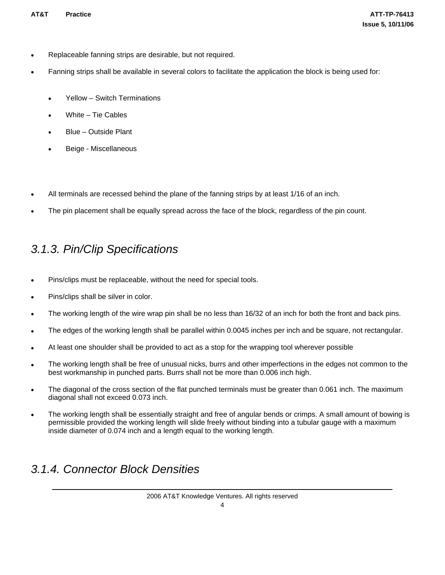- Replaceable fanning strips are desirable, but not required.
- Fanning strips shall be available in several colors to facilitate the application the block is being used for:
	- Yellow Switch Terminations
	- White Tie Cables
	- Blue Outside Plant
	- Beige Miscellaneous
- All terminals are recessed behind the plane of the fanning strips by at least 1/16 of an inch.
- The pin placement shall be equally spread across the face of the block, regardless of the pin count.

### <span id="page-7-0"></span>3.1.3. Pin/Clip Specifications

- Pins/clips must be replaceable, without the need for special tools.
- Pins/clips shall be silver in color.
- The working length of the wire wrap pin shall be no less than 16/32 of an inch for both the front and back pins.
- The edges of the working length shall be parallel within 0.0045 inches per inch and be square, not rectangular.
- At least one shoulder shall be provided to act as a stop for the wrapping tool wherever possible
- The working length shall be free of unusual nicks, burrs and other imperfections in the edges not common to the best workmanship in punched parts. Burrs shall not be more than 0.006 inch high.
- The diagonal of the cross section of the flat punched terminals must be greater than 0.061 inch. The maximum diagonal shall not exceed 0.073 inch.
- The working length shall be essentially straight and free of angular bends or crimps. A small amount of bowing is permissible provided the working length will slide freely without binding into a tubular gauge with a maximum inside diameter of 0.074 inch and a length equal to the working length.

## <span id="page-7-1"></span>3.1.4. Connector Block Densities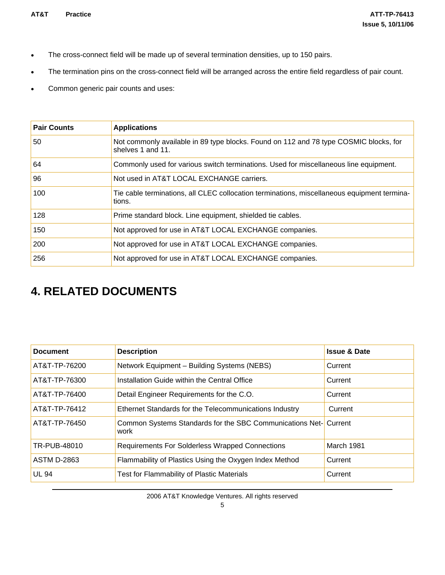- The cross-connect field will be made up of several termination densities, up to 150 pairs.
- The termination pins on the cross-connect field will be arranged across the entire field regardless of pair count.
- Common generic pair counts and uses:

| <b>Pair Counts</b> | <b>Applications</b>                                                                                        |  |
|--------------------|------------------------------------------------------------------------------------------------------------|--|
| 50                 | Not commonly available in 89 type blocks. Found on 112 and 78 type COSMIC blocks, for<br>shelves 1 and 11. |  |
| 64                 | Commonly used for various switch terminations. Used for miscellaneous line equipment.                      |  |
| 96                 | Not used in AT&T LOCAL EXCHANGE carriers.                                                                  |  |
| 100                | Tie cable terminations, all CLEC collocation terminations, miscellaneous equipment termina-<br>tions.      |  |
| 128                | Prime standard block. Line equipment, shielded tie cables.                                                 |  |
| 150                | Not approved for use in AT&T LOCAL EXCHANGE companies.                                                     |  |
| 200                | Not approved for use in AT&T LOCAL EXCHANGE companies.                                                     |  |
| 256                | Not approved for use in AT&T LOCAL EXCHANGE companies.                                                     |  |

### <span id="page-8-0"></span>**4. RELATED DOCUMENTS**

| <b>Document</b>    | <b>Description</b>                                                       | <b>Issue &amp; Date</b> |
|--------------------|--------------------------------------------------------------------------|-------------------------|
| AT&T-TP-76200      | Network Equipment - Building Systems (NEBS)                              | Current                 |
| AT&T-TP-76300      | Installation Guide within the Central Office                             | Current                 |
| AT&T-TP-76400      | Detail Engineer Requirements for the C.O.                                | Current                 |
| AT&T-TP-76412      | Ethernet Standards for the Telecommunications Industry                   | Current                 |
| AT&T-TP-76450      | Common Systems Standards for the SBC Communications Net- Current<br>work |                         |
| TR-PUB-48010       | <b>Requirements For Solderless Wrapped Connections</b>                   | March 1981              |
| <b>ASTM D-2863</b> | Flammability of Plastics Using the Oxygen Index Method                   | Current                 |
| <b>UL 94</b>       | Test for Flammability of Plastic Materials                               | Current                 |

2006 AT&T Knowledge Ventures. All rights reserved